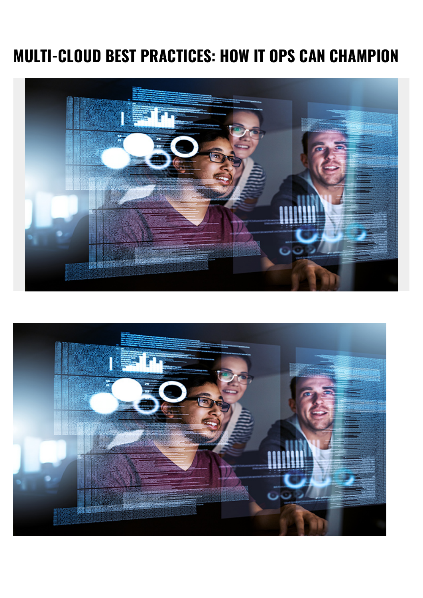# **MULTI-CLOUD BEST PRACTICES: HOW IT OPS CAN CHAMPION**



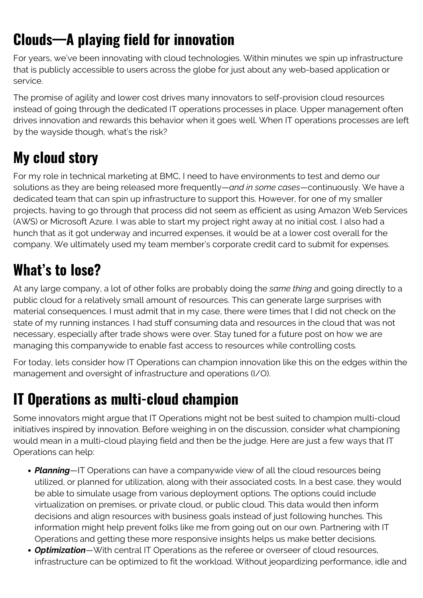## **Clouds—A playing field for innovation**

For years, we've been innovating with cloud technologies. Within minutes we spin up infrastructure that is publicly accessible to users across the globe for just about any web-based application or service.

The promise of agility and lower cost drives many innovators to self-provision cloud resources instead of going through the dedicated IT operations processes in place. Upper management often drives innovation and rewards this behavior when it goes well. When IT operations processes are left by the wayside though, what's the risk?

### **My cloud story**

For my role in technical marketing at BMC, I need to have environments to test and demo our solutions as they are being released more frequently—*and in some cases*—continuously. We have a dedicated team that can spin up infrastructure to support this. However, for one of my smaller projects, having to go through that process did not seem as efficient as using Amazon Web Services (AWS) or Microsoft Azure. I was able to start my project right away at no initial cost. I also had a hunch that as it got underway and incurred expenses, it would be at a lower cost overall for the company. We ultimately used my team member's corporate credit card to submit for expenses.

#### **What's to lose?**

At any large company, a lot of other folks are probably doing the *same thing* and going directly to a public cloud for a relatively small amount of resources. This can generate large surprises with material consequences. I must admit that in my case, there were times that I did not check on the state of my running instances. I had stuff consuming data and resources in the cloud that was not necessary, especially after trade shows were over. Stay tuned for a future post on how we are managing this companywide to enable fast access to resources while controlling costs.

For today, lets consider how IT Operations can champion innovation like this on the edges within the management and oversight of infrastructure and operations (I/O).

### **IT Operations as multi-cloud champion**

Some innovators might argue that IT Operations might not be best suited to champion multi-cloud initiatives inspired by innovation. Before weighing in on the discussion, consider what championing would mean in a multi-cloud playing field and then be the judge. Here are just a few ways that IT Operations can help:

- *Planning*—IT Operations can have a companywide view of all the cloud resources being utilized, or planned for utilization, along with their associated costs. In a best case, they would be able to simulate usage from various deployment options. The options could include virtualization on premises, or private cloud, or public cloud. This data would then inform decisions and align resources with business goals instead of just following hunches. This information might help prevent folks like me from going out on our own. Partnering with IT Operations and getting these more responsive insights helps us make better decisions.
- *Optimization*—With central IT Operations as the referee or overseer of cloud resources, infrastructure can be optimized to fit the workload. Without jeopardizing performance, idle and